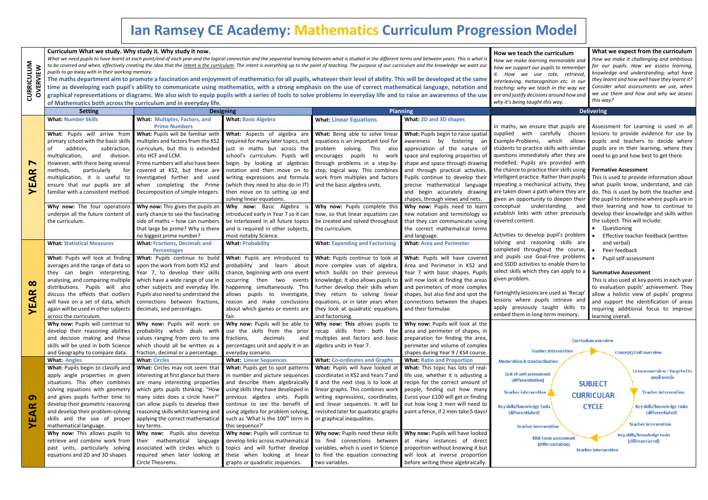# **What we expect from the curriculum**

*How we make it challenging and ambitious for our pupils. How we assess learning, knowledge and understanding; what have they learnt and how well have they learnt it? Consider what assessments we use, when we use them and how and why we assess this way?*

Assessment for Learning is used in all lessons to provide evidence for use by pupils and teachers to decide where pupils are in their learning, where they need to go and how best to get there.

### **Formative Assessment**

This is used to provide information about what pupils know, understand, and can do. This is used by both the teacher and the pupil to determine where pupils are in their learning and how to continue to develop their knowledge and skills within the subject. This will include:

- Questioning
- Effective teacher feedback (written and verbal)
- Peer feedback
- [Pupil self-assessment](https://www.assessmentforlearning.edu.au/professional_learning/student_self-assessment/student_self-assessment_landing_page.html)

### **Summative Assessment**

This is also used at key points in each year to evaluation pupils' achievement. They allow a holistic view of pupils' progress and support the identification of areas requiring additional focus to improve learning overall.



| <b>CURRICULUM<br/>OVERVIEW</b>            | Curriculum What we study. Why study it. Why study it now.<br>What we need pupils to have learnt at each point/end of each year and the logical connection and the sequential learning between what is studied in the different terms and between years. This is what is<br>to be covered and when, effectively creating the idea that the intent is the curriculum. The intent is everything up to the point of teaching. The purpose of our curriculum and the knowledge we want our<br>pupils to go away with in their working memory.<br>The maths department aim to promote a fascination and enjoyment of mathematics for all pupils, whatever their level of ability. This will be developed at the same<br>time as developing each pupil's ability to communicate using mathematics, with a strong emphasis on the use of correct mathematical language, notation and<br>graphical representations or diagrams. We also wish to equip pupils with a series of tools to solve problems in everyday life and to raise an awareness of the use<br>of Mathematics both across the curriculum and in everyday life.<br><b>Setting</b> | How we teach the curriculum<br>How we make learning memorable and<br>how we support our pupils to remember<br>it. How we use rote, retrieval,<br>interleaving, metacognition etc. in our<br>teaching; why we teach in the way we<br>are and justify decisions around how and<br>why it's being taught this way.                                                                                                                                                                                                                                      | What<br>How v<br>for ou<br>knowl<br>they le<br>Consic<br>we us<br>this w<br><b>Delivering</b>                                                                                                                                                                                                                                                                                                                                                                                                                                                |                                                                                                                                                                                                                                                                                                                                                                                                                                                                                                          |                                                                                                                                                                                                                                                                                                                                                                                                                                                                                                                  |                                                                                                                                                                                                                                                                                                                                                                                                                                                                                                                                                                                                              |                                                                                                                                                |
|-------------------------------------------|-----------------------------------------------------------------------------------------------------------------------------------------------------------------------------------------------------------------------------------------------------------------------------------------------------------------------------------------------------------------------------------------------------------------------------------------------------------------------------------------------------------------------------------------------------------------------------------------------------------------------------------------------------------------------------------------------------------------------------------------------------------------------------------------------------------------------------------------------------------------------------------------------------------------------------------------------------------------------------------------------------------------------------------------------------------------------------------------------------------------------------------------|------------------------------------------------------------------------------------------------------------------------------------------------------------------------------------------------------------------------------------------------------------------------------------------------------------------------------------------------------------------------------------------------------------------------------------------------------------------------------------------------------------------------------------------------------|----------------------------------------------------------------------------------------------------------------------------------------------------------------------------------------------------------------------------------------------------------------------------------------------------------------------------------------------------------------------------------------------------------------------------------------------------------------------------------------------------------------------------------------------|----------------------------------------------------------------------------------------------------------------------------------------------------------------------------------------------------------------------------------------------------------------------------------------------------------------------------------------------------------------------------------------------------------------------------------------------------------------------------------------------------------|------------------------------------------------------------------------------------------------------------------------------------------------------------------------------------------------------------------------------------------------------------------------------------------------------------------------------------------------------------------------------------------------------------------------------------------------------------------------------------------------------------------|--------------------------------------------------------------------------------------------------------------------------------------------------------------------------------------------------------------------------------------------------------------------------------------------------------------------------------------------------------------------------------------------------------------------------------------------------------------------------------------------------------------------------------------------------------------------------------------------------------------|------------------------------------------------------------------------------------------------------------------------------------------------|
|                                           | <b>What: Number Skills</b>                                                                                                                                                                                                                                                                                                                                                                                                                                                                                                                                                                                                                                                                                                                                                                                                                                                                                                                                                                                                                                                                                                              | <b>What: Multiples, Factors, and</b>                                                                                                                                                                                                                                                                                                                                                                                                                                                                                                                 | <b>What: Basic Algebra</b>                                                                                                                                                                                                                                                                                                                                                                                                                                                                                                                   | <b>What: Linear Equations</b>                                                                                                                                                                                                                                                                                                                                                                                                                                                                            | <b>What: 2D and 3D shapes</b>                                                                                                                                                                                                                                                                                                                                                                                                                                                                                    |                                                                                                                                                                                                                                                                                                                                                                                                                                                                                                                                                                                                              |                                                                                                                                                |
| $\blacktriangleright$<br>≃<br>⋖<br>۳<br>ح | What: Pupils will arrive from<br>primary school with the basic skills<br>addition,<br>subtraction,<br>of<br>multiplication,<br>and<br>division.<br>methods,<br>particularly<br>for<br>multiplication, it is useful to<br>ensure that our pupils are all<br>familiar with a consistent method.<br>Why now: The four operations<br>underpin all the future content of<br>the curriculum.                                                                                                                                                                                                                                                                                                                                                                                                                                                                                                                                                                                                                                                                                                                                                  | <b>Prime Numbers</b><br>What: Pupils will be familiar with<br>multiples and factors from the KS2<br>curriculum, but this is extended<br>into HCF and LCM.<br>However, with there being several Prime numbers will also have been<br>covered at KS2, but these are<br>investigated further and used<br>when completing the Prime<br>Decomposition of simple integers.<br>Why now: This gives the pupils an<br>early chance to see the fascinating<br>side of maths - how can numbers<br>that large be prime? Why is there<br>no biggest prime number? | What: Aspects of algebra are<br>required for many later topics, not<br>just in maths but across the<br>school's curriculum. Pupils will<br>begin by looking at algebraic<br>notation and then move on to<br>writing expressions and formula<br>(which they need to also do in IT)<br>then move on to setting up and<br>solving linear equations.<br>Why now: Basic Algebra<br>introduced early in Year 7 so it can<br>be interleaved in all future topics<br>and is required in other subjects,<br>most notably Science.                     | What: Being able to solve linear<br>equations is an important tool for<br>problem solving. This also<br>encourages pupils to<br>work<br>through problems in a step-by-<br>step, logical way. This combines<br>work from multiples and factors<br>and the basic algebra units.<br>Why now: Pupils complete this<br>now, so that linear equations can<br>be created and solved throughout<br>the curriculum.                                                                                               | What: Pupils begin to raise spatial<br>awareness by fostering an<br>appreciation of the nature of<br>space and exploring properties of<br>shape and space through drawing<br>and through practical activities.<br>Pupils continue to develop their<br>precise mathematical language<br>and begin accurately drawing<br>shapes, through views and nets.<br>Why now: Pupils need to learn<br>new notation and terminology so<br>that they can communicate using<br>the correct mathematical terms<br>and language. | In maths, we ensure that pupils are Assess<br>supplied with carefully chosen<br>Example-Problems, which allows<br>students to practice skills with similar<br>questions immediately after they are<br>modelled. Pupils are provided with<br>the chance to practice their skills using<br>intelligent practice. Rather than pupils<br>repeating a mechanical activity, they what<br>are taken down a path where they are<br>given an opportunity to deepen their<br>conceptual understanding<br>and<br>establish links with other previously<br>covered content.<br>Activities to develop pupil's problem . E | lessor<br>pupils<br>pupils<br>need t<br>Forma<br>This is<br>do. Tł<br>the pu<br>their<br>devel<br>the su                                       |
| $\infty$<br><u>୯</u><br>⋖<br>ш<br>➤       | <b>What: Statistical Measures</b><br>What: Pupils will look at finding<br>averages and the range of data so<br>they can begin interpreting,<br>analysing, and comparing multiple<br>distributions. Pupils will also<br>discuss the effects that outliers<br>will have on a set of data, which connections between fractions,<br>again will be used in other subjects decimals, and percentages.<br>across the curriculum.<br>develop their reasoning abilities<br>and decision making and these<br>skills will be used in both Science<br>and Geography to compare data.                                                                                                                                                                                                                                                                                                                                                                                                                                                                                                                                                                | <b>What: Fractions, Decimals and</b><br><b>Percentages</b><br>What: Pupils continue to build<br>upon the work from both KS2 and<br>Year 7, to develop their skills<br>which have a wide range of use in<br>other subjects and everyday life.<br>Pupils also need to understand the<br>Why now: Pupils will continue to Why now: Pupils will work on<br>probability which deals with<br>values ranging from zero to one<br>which should all be written as a<br>fraction, decimal or a percentage.                                                     | <b>What: Probability</b><br>What: Pupils are introduced to<br>probability and learn about<br>chance, beginning with one event<br>occurring then two events<br>happening simultaneously. This<br>allows pupils to investigate,<br>reason and make conclusions<br>fair.<br>Why now: Pupils will be able to<br>use the skills from the prior<br>fractions,<br>decimals<br>and<br>percentages unit and apply it in an<br>everyday scenario.                                                                                                      | <b>What: Expanding and Factorising</b><br>What: Pupils continue to look at<br>more complex uses of algebra,<br>which builds on their previous<br>knowledge. It also allows pupils to<br>further develop their skills when<br>they return to solving linear<br>equations, or in later years when<br>about which games or events are they look at quadratic equations and their formulae.<br>and factorising.<br>recap skills from both the<br>multiples and factors and basic<br>algebra units in Year 7. | <b>What: Area and Perimeter</b><br>What: Pupils will have covered<br>Area and Perimeter in KS2 and<br>Year 7 with basic shapes. Pupils<br>will now look at finding the areas<br>and perimeters of more complex<br>shapes, but also find and spot the<br>connections between the shapes<br>Why now: This allows pupils to Why now: Pupils will look at the<br>area and perimeter of shapes, in<br>preparation for finding the area,<br>perimeter and volume of complex<br>shapes during Year 9 / KS4 course.      | solving and reasoning skills are<br>completed throughout the course,<br>and pupils use Goal-Free problems<br>and SSDD activities to enable them to<br>select skills which they can apply to a<br>given problem.<br>Fortnightly lessons are used as 'Recap'<br>lessons where pupils retrieve and<br>apply previously taught skills to<br>embed them in long-term memory.<br><b>Teacher intervention</b>                                                                                                                                                                                                       | a<br>$\bullet$<br>P<br>$\bullet$<br>$\mathsf{P}$<br>Summ<br>This is<br>to eva<br>allow<br>and s<br>requir<br>learni<br><b>Curriculum overv</b> |
| <b>G</b><br><u>୯</u><br>⋖<br>ш<br>≻       | <b>What: Angles</b><br>What: Pupils begin to classify and<br>apply angle properties in given<br>solving equations with geometry<br>and gives pupils further time to<br>develop their geometric reasoning<br>and develop their problem-solving<br>skills and the use of proper<br>mathematical language.<br>Why now: This allows pupils to<br>retrieve and combine work from<br>past units, particularly solving<br>equations and 2D and 3D shapes                                                                                                                                                                                                                                                                                                                                                                                                                                                                                                                                                                                                                                                                                       | <b>What: Circles</b><br>What: Circles may not seem that<br>interesting at first glance but there<br>situations. This often combines are many interesting properties<br>which gets pupils thinking. "How<br>many sides does a circle have?"<br>can allow pupils to develop their<br>reasoning skills whilst learning and<br>applying the correct mathematical<br>key terms.<br>Why now: Pupils also develop<br>their mathematical language<br>associated with circles which is<br>required when later looking at<br>Circle Theorems.                  | <b>What: Linear Sequences</b><br>What: Pupils get to spot patterns<br>in number and picture sequences<br>and describe them algebraically<br>using skills they have developed in<br>previous algebra units. Pupils<br>continue to see the benefit of<br>using algebra for problem solving,<br>such as 'What is the 100 <sup>th</sup> term in<br>this sequence?'<br>Why now: Pupils will continue to<br>develop links across mathematical<br>topics and will further develop<br>these when looking at linear<br>graphs or quadratic sequences. | <b>What: Co-ordinates and Graphs</b><br>What: Pupils will have looked at<br>coordinates in KS2 and Years 7 and<br>8 and the next step is to look at<br>linear graphs. This combines work<br>writing expressions, coordinates,<br>and linear sequences. It will be<br>revisited later for quadratic graphs<br>or graphical inequalities.<br>Why now: Pupils need these skills<br>to find connections between<br>variables, which is used in Science<br>to find the equation connecting<br>two variables.  | <b>What: Ratio and Proportion</b><br>What: This topic has lots of real-<br>life use, whether it is adjusting a<br>recipe for the correct amount of<br>people, finding out how many<br>Euros your £100 will get or finding<br>out how long 3 men will need to<br>paint a fence, if 2 men take 5 days!<br>Why now: Pupils will have looked<br>at many instances of direct<br>proportion without knowing it but<br>will look at inverse proportion<br>before writing these algebraically.                           | <b>Moderation &amp; standardisation</b><br><b>End of unit assessment</b><br>(differentiation)<br>Teacher intervention<br>Key skills/knowledge tasks<br>(differentiated)<br><b>Teacher intervention</b><br>Mid-term assessment<br>(differentiation)                                                                                                                                                                                                                                                                                                                                                           | <b>SUBJECT</b><br><b>CURRICUL</b><br><b>CYCLE</b><br><b>Teacher interve</b>                                                                    |

# the curriculum

# **Ian Ramsey CE Academy: Mathematics Curriculum Progression Model**